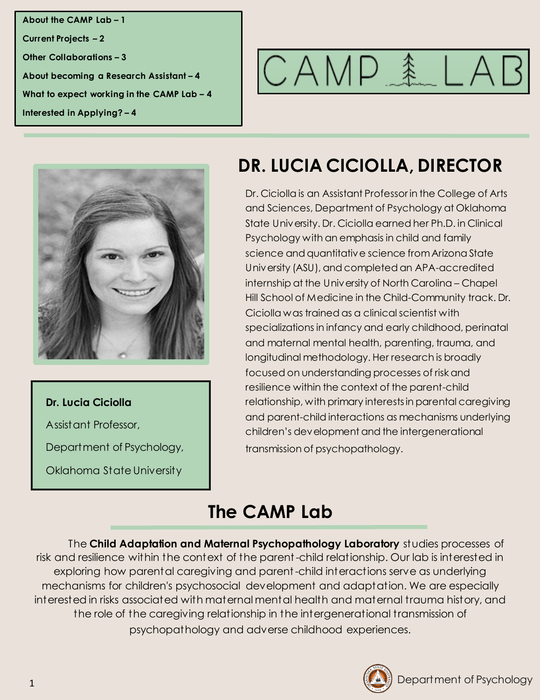**About the CAMP Lab – 1 Current Projects – 2 Other Collaborations – 3 About becoming a Research Assistant – 4 What to expect working in the CAMP Lab – 4 Interested in Applying? – 4**





#### **Dr. Lucia Ciciolla**

Assistant Professor,

Department of Psychology,

Oklahoma State University

# **DR. LUCIA CICIOLLA, DIRECTOR**

Dr. Ciciolla is an Assistant Professor in the College of Arts and Sciences, Department of Psychology at Oklahoma State University. Dr. Ciciolla earned her Ph.D. in Clinical Psychology with an emphasis in child and family science and quantitative science from Arizona State University (ASU), and completed an APA-accredited internship at the University of North Carolina – Chapel Hill School of Medicine in the Child-Community track. Dr. Ciciolla was trained as a clinical scientist with specializations in infancy and early childhood, perinatal and maternal mental health, parenting, trauma, and longitudinal methodology. Her research is broadly focused on understanding processes of risk and resilience within the context of the parent-child relationship, with primary interests in parental caregiving and parent-child interactions as mechanisms underlying children's development and the intergenerational transmission of psychopathology.

## **The CAMP Lab**

The **Child Adaptation and Maternal Psychopathology Laboratory** studies processes of risk and resilience within the context of the parent-child relationship. Our lab is interested in exploring how parental caregiving and parent-child interactions serve as underlying mechanisms for children's psychosocial development and adaptation. We are especially interested in risks associated with maternal mental health and maternal trauma history, and the role of the caregiving relationship in the intergenerational transmission of psychopathology and adverse childhood experiences.

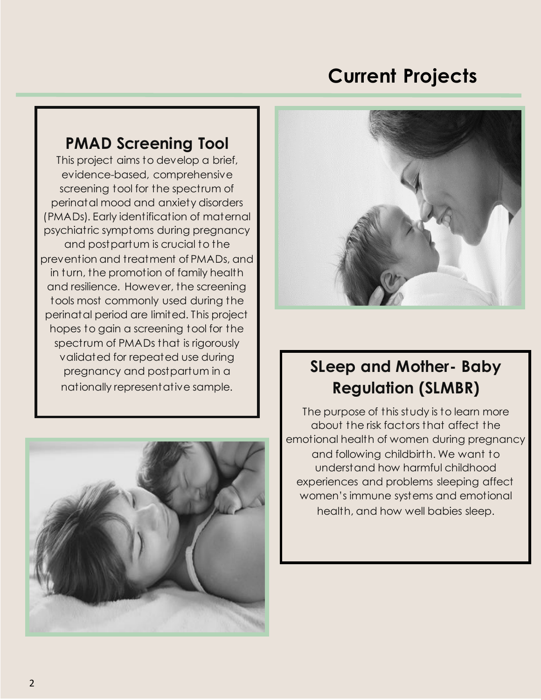## **Current Projects**

#### **PMAD Screening Tool**

This project aims to develop a brief, evidence-based, comprehensive screening tool for the spectrum of perinatal mood and anxiety disorders (PMADs). Early identification of maternal psychiatric symptoms during pregnancy and postpartum is crucial to the prevention and treatment of PMADs, and in turn, the promotion of family health and resilience. However, the screening tools most commonly used during the perinatal period are limited. This project hopes to gain a screening tool for the spectrum of PMADs that is rigorously validated for repeated use during pregnancy and postpartum in a nationally representative sample.





## **SLeep and Mother- Baby Regulation (SLMBR)**

The purpose of this study is to learn more about the risk factors that affect the emotional health of women during pregnancy and following childbirth. We want to understand how harmful childhood experiences and problems sleeping affect women's immune systems and emotional health, and how well babies sleep.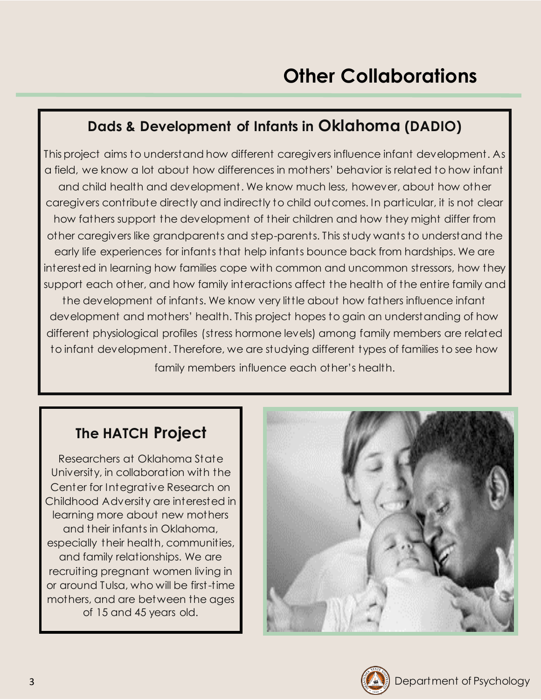#### **Dads & Development of Infants in Oklahoma (DADIO)**

This project aims to understand how different caregivers influence infant development. As a field, we know a lot about how differences in mothers' behavior is related to how infant and child health and development. We know much less, however, about how other caregivers contribute directly and indirectly to child outcomes. In particular, it is not clear how fathers support the development of their children and how they might differ from other caregivers like grandparents and step-parents. This study wants to understand the early life experiences for infants that help infants bounce back from hardships. We are interested in learning how families cope with common and uncommon stressors, how they support each other, and how family interactions affect the health of the entire family and the development of infants. We know very little about how fathers influence infant development and mothers' health. This project hopes to gain an understanding of how different physiological profiles (stress hormone levels) among family members are related to infant development. Therefore, we are studying different types of families to see how

### family members influence each other's health.

#### **The HATCH Project**

Researchers at Oklahoma State University, in collaboration with the Center for Integrative Research on Childhood Adversity are interested in learning more about new mothers and their infants in Oklahoma, especially their health, communities, and family relationships. We are recruiting pregnant women living in or around Tulsa, who will be first-time mothers, and are between the ages of 15 and 45 years old.